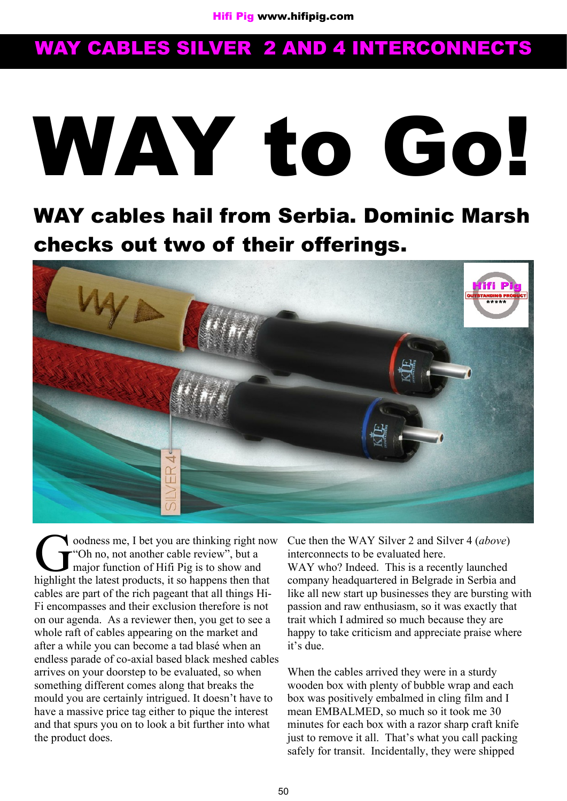# **WAY to Go!**

**WAY cables hail from Serbia. Dominic Marsh checks out two of their offerings.**



Coodness me, I bet you are thinking right no<br>
"Oh no, not another cable review", but a<br>
major function of Hifi Pig is to show and<br>
highlight the latest products, it so happens then that oodness me, I bet you are thinking right now **T** "Oh no, not another cable review", but a major function of Hifi Pig is to show and cables are part of the rich pageant that all things Hi-Fi encompasses and their exclusion therefore is not on our agenda. As a reviewer then, you get to see a whole raft of cables appearing on the market and after a while you can become a tad blasé when an endless parade of co-axial based black meshed cables arrives on your doorstep to be evaluated, so when something different comes along that breaks the mould you are certainly intrigued. It doesn't have to have a massive price tag either to pique the interest and that spurs you on to look a bit further into what the product does.

Cue then the WAY Silver 2 and Silver 4 (*above*) interconnects to be evaluated here.

WAY who? Indeed. This is a recently launched company headquartered in Belgrade in Serbia and like all new start up businesses they are bursting with passion and raw enthusiasm, so it was exactly that trait which I admired so much because they are happy to take criticism and appreciate praise where it's due.

When the cables arrived they were in a sturdy wooden box with plenty of bubble wrap and each box was positively embalmed in cling film and I mean EMBALMED, so much so it took me 30 minutes for each box with a razor sharp craft knife just to remove it all. That's what you call packing safely for transit. Incidentally, they were shipped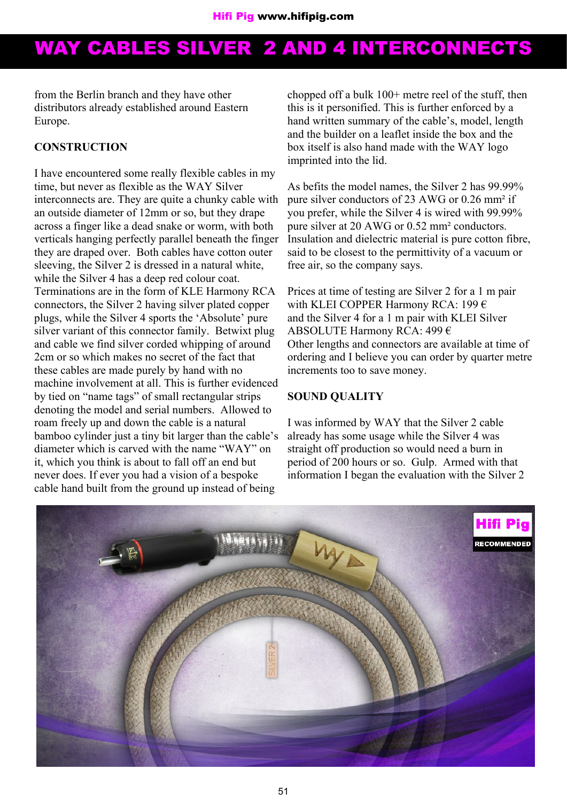from the Berlin branch and they have other distributors already established around Eastern Europe.

#### **CONSTRUCTION**

I have encountered some really flexible cables in my time, but never as flexible as the WAY Silver interconnects are. They are quite a chunky cable with an outside diameter of 12mm or so, but they drape across a finger like a dead snake or worm, with both verticals hanging perfectly parallel beneath the finger they are draped over. Both cables have cotton outer sleeving, the Silver 2 is dressed in a natural white, while the Silver 4 has a deep red colour coat. Terminations are in the form of KLE Harmony RCA connectors, the Silver 2 having silver plated copper plugs, while the Silver 4 sports the 'Absolute' pure silver variant of this connector family. Betwixt plug and cable we find silver corded whipping of around 2cm or so which makes no secret of the fact that these cables are made purely by hand with no machine involvement at all. This is further evidenced by tied on "name tags" of small rectangular strips denoting the model and serial numbers. Allowed to roam freely up and down the cable is a natural bamboo cylinder just a tiny bit larger than the cable's diameter which is carved with the name "WAY" on it, which you think is about to fall off an end but never does. If ever you had a vision of a bespoke cable hand built from the ground up instead of being

chopped off a bulk 100+ metre reel of the stuff, then this is it personified. This is further enforced by a hand written summary of the cable's, model, length and the builder on a leaflet inside the box and the box itself is also hand made with the WAY logo imprinted into the lid.

As befits the model names, the Silver 2 has 99.99% pure silver conductors of 23 AWG or 0.26 mm² if you prefer, while the Silver 4 is wired with 99.99% pure silver at 20 AWG or 0.52 mm² conductors. Insulation and dielectric material is pure cotton fibre, said to be closest to the permittivity of a vacuum or free air, so the company says.

Prices at time of testing are Silver 2 for a 1 m pair with KLEI COPPER Harmony RCA: 199 € and the Silver 4 for a 1 m pair with KLEI Silver ABSOLUTE Harmony RCA: 499 € Other lengths and connectors are available at time of ordering and I believe you can order by quarter metre increments too to save money.

#### **SOUND QUALITY**

I was informed by WAY that the Silver 2 cable already has some usage while the Silver 4 was straight off production so would need a burn in period of 200 hours or so. Gulp. Armed with that information I began the evaluation with the Silver 2

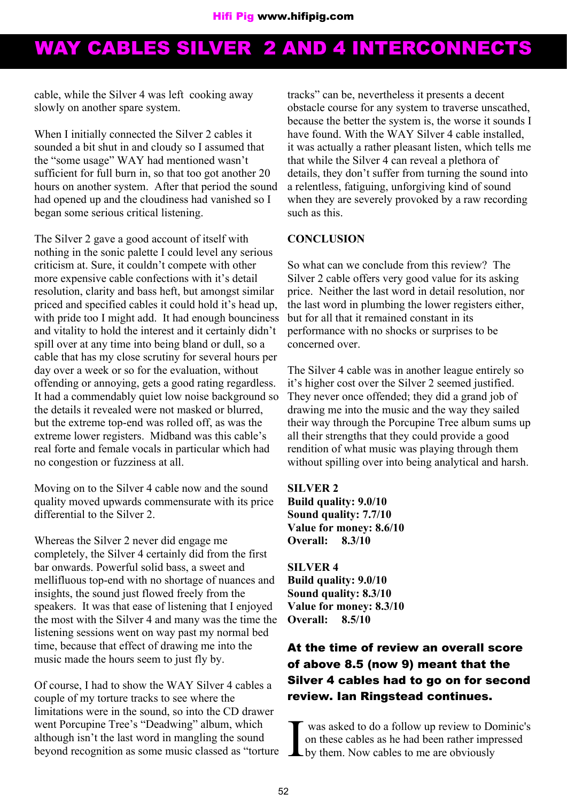cable, while the Silver 4 was left cooking away slowly on another spare system.

When I initially connected the Silver 2 cables it sounded a bit shut in and cloudy so I assumed that the "some usage" WAY had mentioned wasn't sufficient for full burn in, so that too got another 20 hours on another system. After that period the sound had opened up and the cloudiness had vanished so I began some serious critical listening.

The Silver 2 gave a good account of itself with nothing in the sonic palette I could level any serious criticism at. Sure, it couldn't compete with other more expensive cable confections with it's detail resolution, clarity and bass heft, but amongst similar priced and specified cables it could hold it's head up, with pride too I might add. It had enough bounciness and vitality to hold the interest and it certainly didn't spill over at any time into being bland or dull, so a cable that has my close scrutiny for several hours per day over a week or so for the evaluation, without offending or annoying, gets a good rating regardless. It had a commendably quiet low noise background so the details it revealed were not masked or blurred, but the extreme top-end was rolled off, as was the extreme lower registers. Midband was this cable's real forte and female vocals in particular which had no congestion or fuzziness at all.

Moving on to the Silver 4 cable now and the sound quality moved upwards commensurate with its price differential to the Silver 2.

Whereas the Silver 2 never did engage me completely, the Silver 4 certainly did from the first bar onwards. Powerful solid bass, a sweet and mellifluous top-end with no shortage of nuances and insights, the sound just flowed freely from the speakers. It was that ease of listening that I enjoyed the most with the Silver 4 and many was the time the listening sessions went on way past my normal bed time, because that effect of drawing me into the music made the hours seem to just fly by.

Of course, I had to show the WAY Silver 4 cables a couple of my torture tracks to see where the limitations were in the sound, so into the CD drawer went Porcupine Tree's "Deadwing" album, which although isn't the last word in mangling the sound beyond recognition as some music classed as "torture tracks" can be, nevertheless it presents a decent obstacle course for any system to traverse unscathed, because the better the system is, the worse it sounds I have found. With the WAY Silver 4 cable installed it was actually a rather pleasant listen, which tells me that while the Silver 4 can reveal a plethora of details, they don't suffer from turning the sound into a relentless, fatiguing, unforgiving kind of sound when they are severely provoked by a raw recording such as this.

#### **CONCLUSION**

So what can we conclude from this review? The Silver 2 cable offers very good value for its asking price. Neither the last word in detail resolution, nor the last word in plumbing the lower registers either, but for all that it remained constant in its performance with no shocks or surprises to be concerned over.

The Silver 4 cable was in another league entirely so it's higher cost over the Silver 2 seemed justified. They never once offended; they did a grand job of drawing me into the music and the way they sailed their way through the Porcupine Tree album sums up all their strengths that they could provide a good rendition of what music was playing through them without spilling over into being analytical and harsh.

**SILVER 2 Build quality: 9.0/10 Sound quality: 7.7/10 Value for money: 8.6/10 Overall: 8.3/10**

**SILVER 4 Build quality: 9.0/10 Sound quality: 8.3/10 Value for money: 8.3/10 Overall: 8.5/10**

### **At the time of review an overall score of above 8.5 (now 9) meant that the Silver 4 cables had to go on for second review. Ian Ringstead continues.**

I was asked to do a follow up review to Dominic's on these cables as he had been rather impressed by them. Now cables to me are obviously